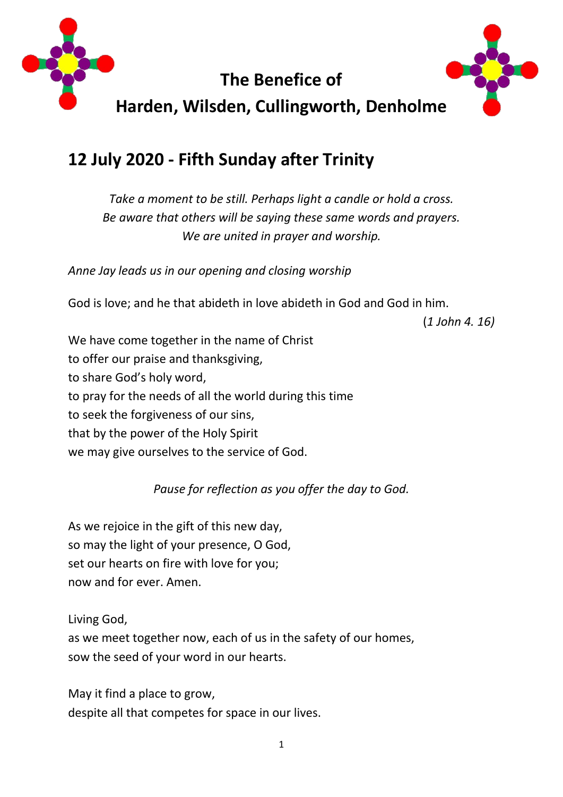

# **Harden, Wilsden, Cullingworth, Denholme**

# **12 July 2020 - Fifth Sunday after Trinity**

*Take a moment to be still. Perhaps light a candle or hold a cross. Be aware that others will be saying these same words and prayers. We are united in prayer and worship.*

**The Benefice of**

*Anne Jay leads us in our opening and closing worship*

God is love; and he that abideth in love abideth in God and God in him.

(*1 John 4. 16)*

We have come together in the name of Christ to offer our praise and thanksgiving, to share God's holy word, to pray for the needs of all the world during this time to seek the forgiveness of our sins, that by the power of the Holy Spirit we may give ourselves to the service of God.

*Pause for reflection as you offer the day to God.*

As we rejoice in the gift of this new day, so may the light of your presence, O God, set our hearts on fire with love for you; now and for ever. Amen.

Living God,

as we meet together now, each of us in the safety of our homes, sow the seed of your word in our hearts.

May it find a place to grow, despite all that competes for space in our lives.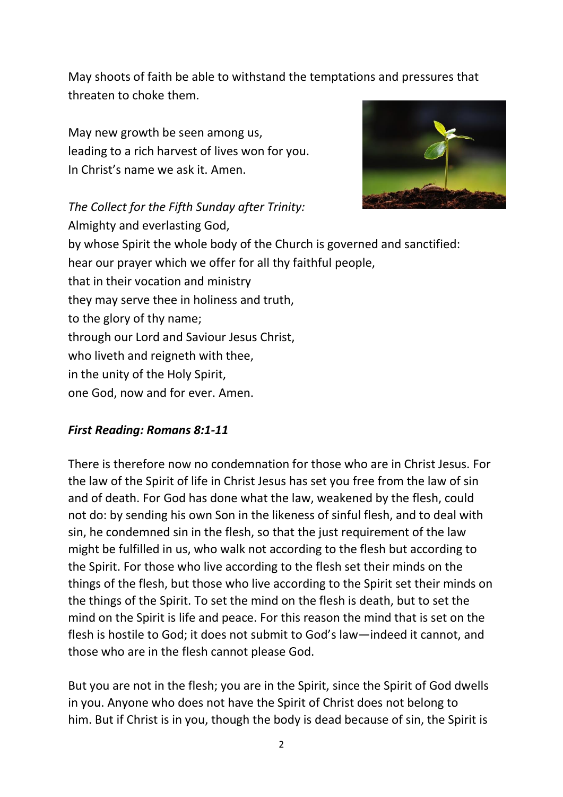May shoots of faith be able to withstand the temptations and pressures that threaten to choke them.

May new growth be seen among us, leading to a rich harvest of lives won for you. In Christ's name we ask it. Amen.



*The Collect for the Fifth Sunday after Trinity:* Almighty and everlasting God, by whose Spirit the whole body of the Church is governed and sanctified: hear our prayer which we offer for all thy faithful people, that in their vocation and ministry they may serve thee in holiness and truth, to the glory of thy name; through our Lord and Saviour Jesus Christ, who liveth and reigneth with thee, in the unity of the Holy Spirit, one God, now and for ever. Amen.

### *First Reading: Romans 8:1-11*

There is therefore now no condemnation for those who are in Christ Jesus. For the law of the Spirit of life in Christ Jesus has set you free from the law of sin and of death. For God has done what the law, weakened by the flesh, could not do: by sending his own Son in the likeness of sinful flesh, and to deal with sin, he condemned sin in the flesh, so that the just requirement of the law might be fulfilled in us, who walk not according to the flesh but according to the Spirit. For those who live according to the flesh set their minds on the things of the flesh, but those who live according to the Spirit set their minds on the things of the Spirit. To set the mind on the flesh is death, but to set the mind on the Spirit is life and peace. For this reason the mind that is set on the flesh is hostile to God; it does not submit to God's law—indeed it cannot, and those who are in the flesh cannot please God.

But you are not in the flesh; you are in the Spirit, since the Spirit of God dwells in you. Anyone who does not have the Spirit of Christ does not belong to him. But if Christ is in you, though the body is dead because of sin, the Spirit is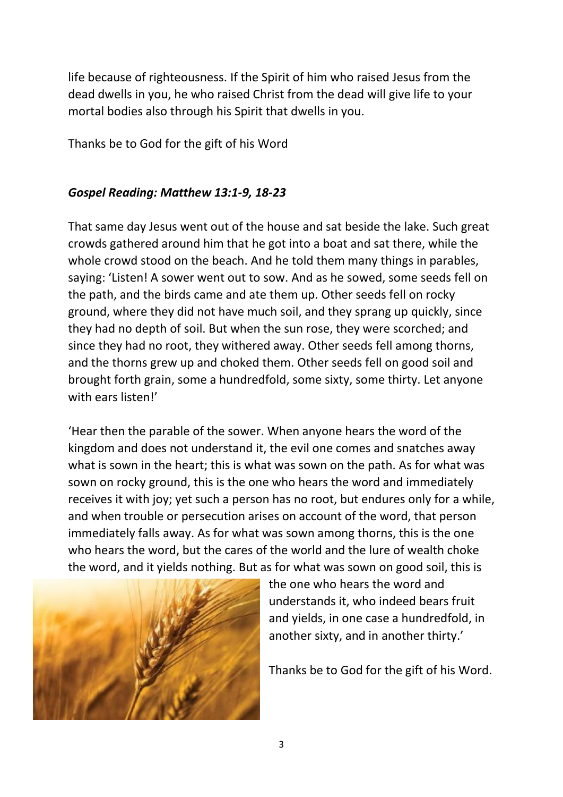life because of righteousness. If the Spirit of him who raised Jesus from the dead dwells in you, he who raised Christ from the dead will give life to your mortal bodies also through his Spirit that dwells in you.

Thanks be to God for the gift of his Word

### *Gospel Reading: Matthew 13:1-9, 18-23*

That same day Jesus went out of the house and sat beside the lake. Such great crowds gathered around him that he got into a boat and sat there, while the whole crowd stood on the beach. And he told them many things in parables, saying: 'Listen! A sower went out to sow. And as he sowed, some seeds fell on the path, and the birds came and ate them up. Other seeds fell on rocky ground, where they did not have much soil, and they sprang up quickly, since they had no depth of soil. But when the sun rose, they were scorched; and since they had no root, they withered away. Other seeds fell among thorns, and the thorns grew up and choked them. Other seeds fell on good soil and brought forth grain, some a hundredfold, some sixty, some thirty. Let anyone with ears listen!'

'Hear then the parable of the sower. When anyone hears the word of the kingdom and does not understand it, the evil one comes and snatches away what is sown in the heart; this is what was sown on the path. As for what was sown on rocky ground, this is the one who hears the word and immediately receives it with joy; yet such a person has no root, but endures only for a while, and when trouble or persecution arises on account of the word, that person immediately falls away. As for what was sown among thorns, this is the one who hears the word, but the cares of the world and the lure of wealth choke the word, and it yields nothing. But as for what was sown on good soil, this is



the one who hears the word and understands it, who indeed bears fruit and yields, in one case a hundredfold, in another sixty, and in another thirty.'

Thanks be to God for the gift of his Word.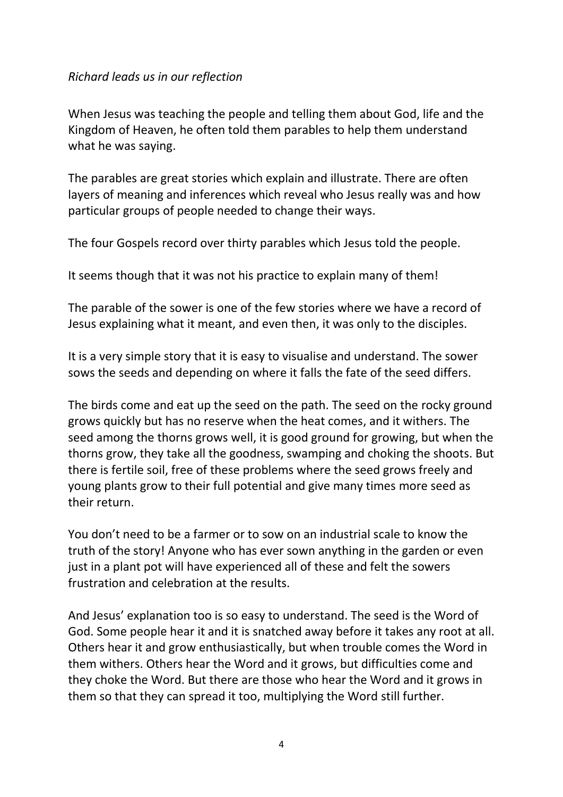### *Richard leads us in our reflection*

When Jesus was teaching the people and telling them about God, life and the Kingdom of Heaven, he often told them parables to help them understand what he was saying.

The parables are great stories which explain and illustrate. There are often layers of meaning and inferences which reveal who Jesus really was and how particular groups of people needed to change their ways.

The four Gospels record over thirty parables which Jesus told the people.

It seems though that it was not his practice to explain many of them!

The parable of the sower is one of the few stories where we have a record of Jesus explaining what it meant, and even then, it was only to the disciples.

It is a very simple story that it is easy to visualise and understand. The sower sows the seeds and depending on where it falls the fate of the seed differs.

The birds come and eat up the seed on the path. The seed on the rocky ground grows quickly but has no reserve when the heat comes, and it withers. The seed among the thorns grows well, it is good ground for growing, but when the thorns grow, they take all the goodness, swamping and choking the shoots. But there is fertile soil, free of these problems where the seed grows freely and young plants grow to their full potential and give many times more seed as their return.

You don't need to be a farmer or to sow on an industrial scale to know the truth of the story! Anyone who has ever sown anything in the garden or even just in a plant pot will have experienced all of these and felt the sowers frustration and celebration at the results.

And Jesus' explanation too is so easy to understand. The seed is the Word of God. Some people hear it and it is snatched away before it takes any root at all. Others hear it and grow enthusiastically, but when trouble comes the Word in them withers. Others hear the Word and it grows, but difficulties come and they choke the Word. But there are those who hear the Word and it grows in them so that they can spread it too, multiplying the Word still further.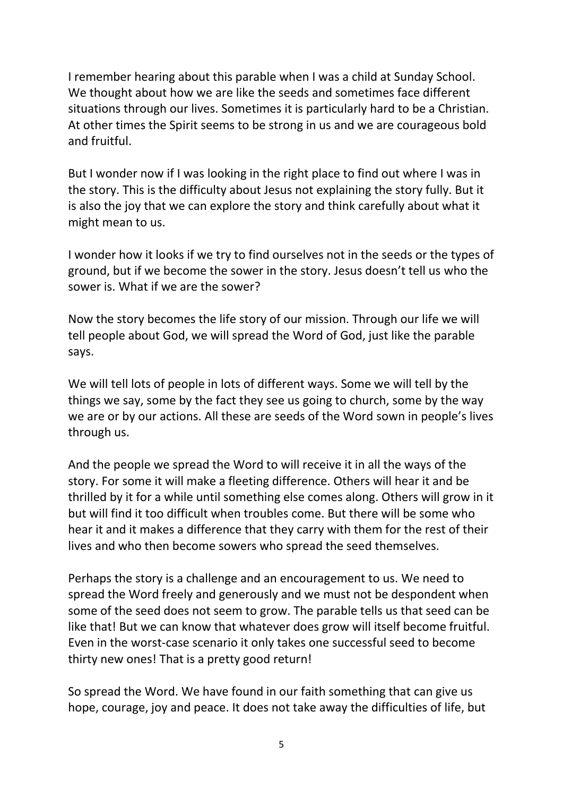I remember hearing about this parable when I was a child at Sunday School. We thought about how we are like the seeds and sometimes face different situations through our lives. Sometimes it is particularly hard to be a Christian. At other times the Spirit seems to be strong in us and we are courageous bold and fruitful.

But I wonder now if I was looking in the right place to find out where I was in the story. This is the difficulty about Jesus not explaining the story fully. But it is also the joy that we can explore the story and think carefully about what it might mean to us.

I wonder how it looks if we try to find ourselves not in the seeds or the types of ground, but if we become the sower in the story. Jesus doesn't tell us who the sower is. What if we are the sower?

Now the story becomes the life story of our mission. Through our life we will tell people about God, we will spread the Word of God, just like the parable says.

We will tell lots of people in lots of different ways. Some we will tell by the things we say, some by the fact they see us going to church, some by the way we are or by our actions. All these are seeds of the Word sown in people's lives through us.

And the people we spread the Word to will receive it in all the ways of the story. For some it will make a fleeting difference. Others will hear it and be thrilled by it for a while until something else comes along. Others will grow in it but will find it too difficult when troubles come. But there will be some who hear it and it makes a difference that they carry with them for the rest of their lives and who then become sowers who spread the seed themselves.

Perhaps the story is a challenge and an encouragement to us. We need to spread the Word freely and generously and we must not be despondent when some of the seed does not seem to grow. The parable tells us that seed can be like that! But we can know that whatever does grow will itself become fruitful. Even in the worst-case scenario it only takes one successful seed to become thirty new ones! That is a pretty good return!

So spread the Word. We have found in our faith something that can give us hope, courage, joy and peace. It does not take away the difficulties of life, but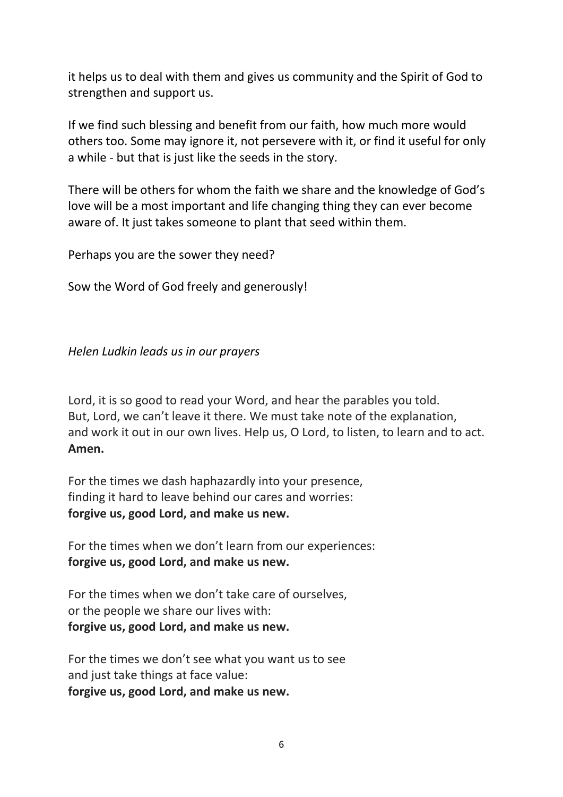it helps us to deal with them and gives us community and the Spirit of God to strengthen and support us.

If we find such blessing and benefit from our faith, how much more would others too. Some may ignore it, not persevere with it, or find it useful for only a while - but that is just like the seeds in the story.

There will be others for whom the faith we share and the knowledge of God's love will be a most important and life changing thing they can ever become aware of. It just takes someone to plant that seed within them.

Perhaps you are the sower they need?

Sow the Word of God freely and generously!

*Helen Ludkin leads us in our prayers*

Lord, it is so good to read your Word, and hear the parables you told. But, Lord, we can't leave it there. We must take note of the explanation, and work it out in our own lives. Help us, O Lord, to listen, to learn and to act. **Amen.**

For the times we dash haphazardly into your presence, finding it hard to leave behind our cares and worries: **forgive us, good Lord, and make us new.**

For the times when we don't learn from our experiences: **forgive us, good Lord, and make us new.**

For the times when we don't take care of ourselves, or the people we share our lives with: **forgive us, good Lord, and make us new.**

For the times we don't see what you want us to see and just take things at face value: **forgive us, good Lord, and make us new.**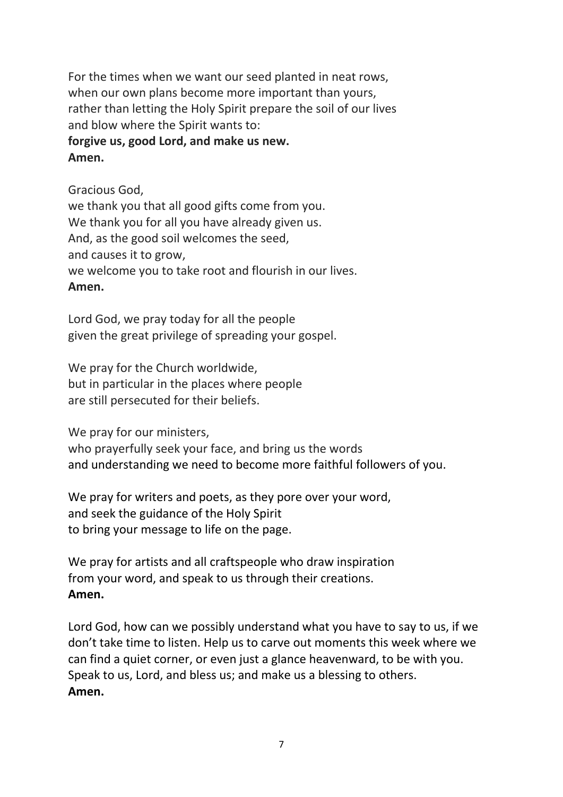For the times when we want our seed planted in neat rows, when our own plans become more important than yours, rather than letting the Holy Spirit prepare the soil of our lives and blow where the Spirit wants to:

## **forgive us, good Lord, and make us new. Amen.**

Gracious God,

we thank you that all good gifts come from you. We thank you for all you have already given us. And, as the good soil welcomes the seed, and causes it to grow, we welcome you to take root and flourish in our lives. **Amen.**

Lord God, we pray today for all the people given the great privilege of spreading your gospel.

We pray for the Church worldwide, but in particular in the places where people are still persecuted for their beliefs.

We pray for our ministers,

who prayerfully seek your face, and bring us the words and understanding we need to become more faithful followers of you.

We pray for writers and poets, as they pore over your word, and seek the guidance of the Holy Spirit to bring your message to life on the page.

We pray for artists and all craftspeople who draw inspiration from your word, and speak to us through their creations. **Amen.**

Lord God, how can we possibly understand what you have to say to us, if we don't take time to listen. Help us to carve out moments this week where we can find a quiet corner, or even just a glance heavenward, to be with you. Speak to us, Lord, and bless us; and make us a blessing to others. **Amen.**